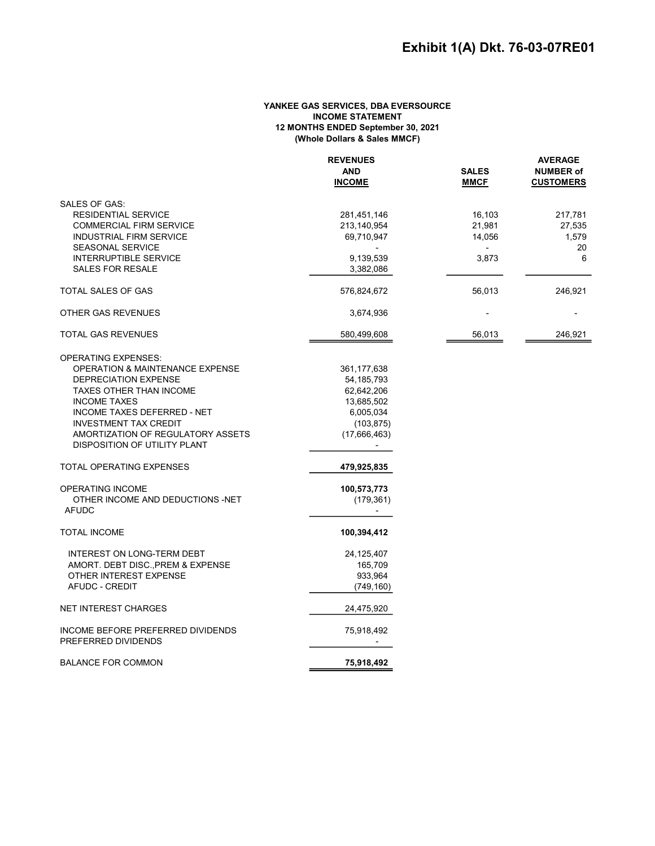## YANKEE GAS SERVICES, DBA EVERSOURCE INCOME STATEMENT 12 MONTHS ENDED September 30, 2021 (Whole Dollars & Sales MMCF)

|                                            | <b>REVENUES</b> |              | <b>AVERAGE</b><br><b>NUMBER of</b> |  |
|--------------------------------------------|-----------------|--------------|------------------------------------|--|
|                                            | <b>AND</b>      | <b>SALES</b> |                                    |  |
|                                            | <b>INCOME</b>   | <b>MMCF</b>  | <b>CUSTOMERS</b>                   |  |
| SALES OF GAS:                              |                 |              |                                    |  |
| <b>RESIDENTIAL SERVICE</b>                 | 281,451,146     | 16,103       | 217,781                            |  |
| <b>COMMERCIAL FIRM SERVICE</b>             | 213,140,954     | 21,981       | 27,535                             |  |
| <b>INDUSTRIAL FIRM SERVICE</b>             | 69,710,947      | 14,056       | 1,579                              |  |
| <b>SEASONAL SERVICE</b>                    |                 |              | 20                                 |  |
| <b>INTERRUPTIBLE SERVICE</b>               | 9,139,539       | 3,873        | 6                                  |  |
| <b>SALES FOR RESALE</b>                    | 3,382,086       |              |                                    |  |
| <b>TOTAL SALES OF GAS</b>                  | 576,824,672     | 56,013       | 246,921                            |  |
| OTHER GAS REVENUES                         | 3,674,936       |              |                                    |  |
| <b>TOTAL GAS REVENUES</b>                  | 580,499,608     | 56,013       | 246,921                            |  |
| <b>OPERATING EXPENSES:</b>                 |                 |              |                                    |  |
| <b>OPERATION &amp; MAINTENANCE EXPENSE</b> | 361,177,638     |              |                                    |  |
| DEPRECIATION EXPENSE                       | 54, 185, 793    |              |                                    |  |
| TAXES OTHER THAN INCOME                    | 62,642,206      |              |                                    |  |
| <b>INCOME TAXES</b>                        | 13,685,502      |              |                                    |  |
| <b>INCOME TAXES DEFERRED - NET</b>         | 6,005,034       |              |                                    |  |
| <b>INVESTMENT TAX CREDIT</b>               | (103, 875)      |              |                                    |  |
| AMORTIZATION OF REGULATORY ASSETS          | (17,666,463)    |              |                                    |  |
| DISPOSITION OF UTILITY PLANT               |                 |              |                                    |  |
| <b>TOTAL OPERATING EXPENSES</b>            | 479,925,835     |              |                                    |  |
| <b>OPERATING INCOME</b>                    | 100,573,773     |              |                                    |  |
| OTHER INCOME AND DEDUCTIONS -NET           | (179, 361)      |              |                                    |  |
| <b>AFUDC</b>                               | $\sim$          |              |                                    |  |
| <b>TOTAL INCOME</b>                        | 100,394,412     |              |                                    |  |
| INTEREST ON LONG-TERM DEBT                 | 24, 125, 407    |              |                                    |  |
| AMORT. DEBT DISC., PREM & EXPENSE          | 165,709         |              |                                    |  |
| OTHER INTEREST EXPENSE                     | 933,964         |              |                                    |  |
| <b>AFUDC - CREDIT</b>                      | (749, 160)      |              |                                    |  |
| <b>NET INTEREST CHARGES</b>                | 24,475,920      |              |                                    |  |
| INCOME BEFORE PREFERRED DIVIDENDS          | 75,918,492      |              |                                    |  |
| PREFERRED DIVIDENDS                        |                 |              |                                    |  |
| <b>BALANCE FOR COMMON</b>                  | 75,918,492      |              |                                    |  |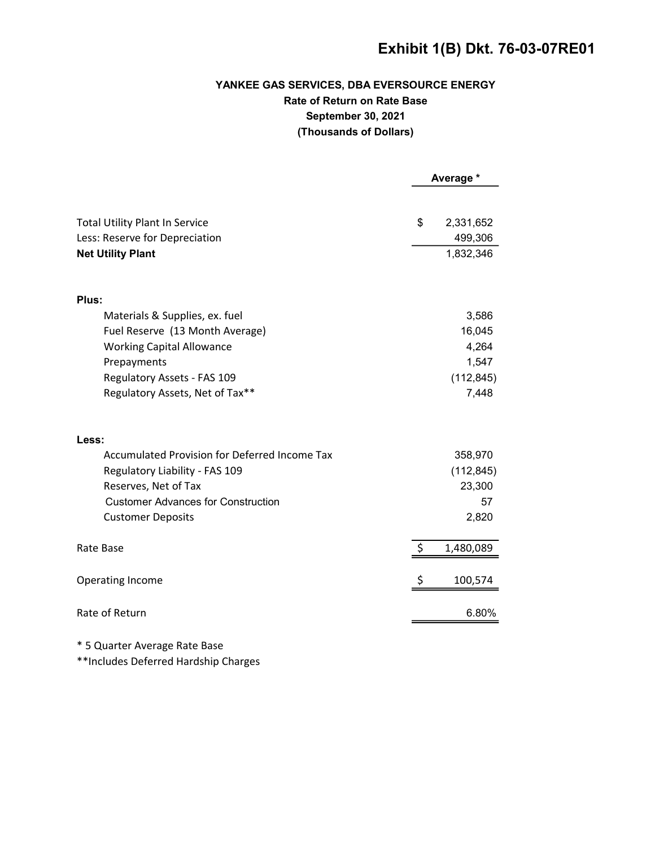# Exhibit 1(B) Dkt. 76-03-07RE01

# YANKEE GAS SERVICES, DBA EVERSOURCE ENERGY Rate of Return on Rate Base September 30, 2021 (Thousands of Dollars)

|                                                            | Average * |                      |
|------------------------------------------------------------|-----------|----------------------|
| <b>Total Utility Plant In Service</b>                      | \$        | 2,331,652            |
|                                                            |           |                      |
| Less: Reserve for Depreciation<br><b>Net Utility Plant</b> |           | 499,306<br>1,832,346 |
|                                                            |           |                      |
| Plus:                                                      |           |                      |
| Materials & Supplies, ex. fuel                             |           | 3,586                |
| Fuel Reserve (13 Month Average)                            |           | 16,045               |
| <b>Working Capital Allowance</b>                           |           | 4,264                |
| Prepayments                                                |           | 1,547                |
| Regulatory Assets - FAS 109                                |           | (112, 845)           |
| Regulatory Assets, Net of Tax**                            |           | 7,448                |
| Less:                                                      |           |                      |
| <b>Accumulated Provision for Deferred Income Tax</b>       |           | 358,970              |
| Regulatory Liability - FAS 109                             |           | (112, 845)           |
| Reserves, Net of Tax                                       |           | 23,300               |
| <b>Customer Advances for Construction</b>                  |           | 57                   |
| <b>Customer Deposits</b>                                   |           | 2,820                |
| Rate Base                                                  | \$        | 1,480,089            |
| <b>Operating Income</b>                                    |           | 100,574              |
| Rate of Return                                             |           | 6.80%                |
|                                                            |           |                      |

\* 5 Quarter Average Rate Base

\*\*Includes Deferred Hardship Charges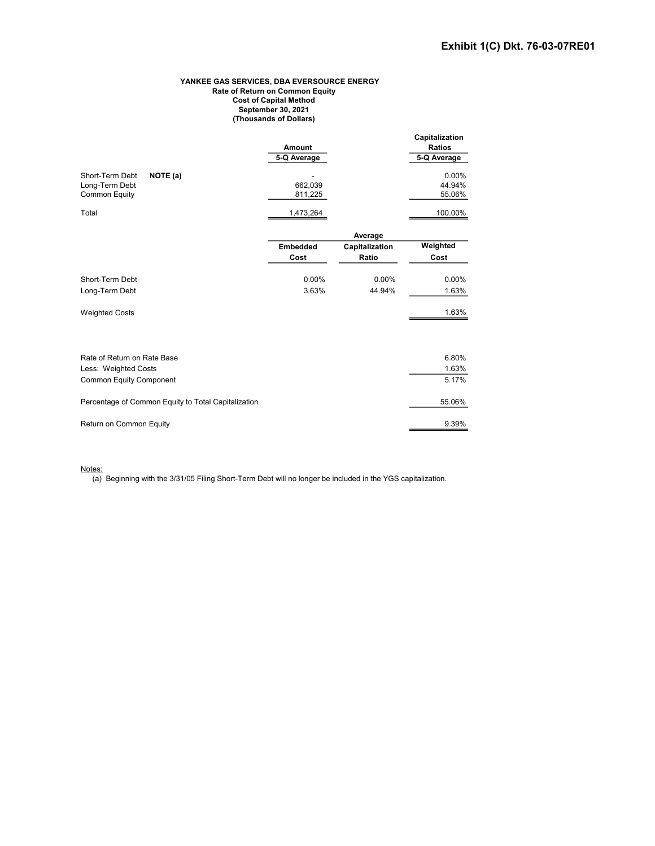#### YANKEE GAS SERVICES, DBA EVERSOURCE ENERGY Rate of Return on Common Equity Cost of Capital Method September 30, 2021 (Thousands of Dollars)

|                                                     |             |                | Capitalization |
|-----------------------------------------------------|-------------|----------------|----------------|
|                                                     | Amount      |                | <b>Ratios</b>  |
|                                                     | 5-Q Average |                | 5-Q Average    |
| Short-Term Debt                                     |             |                | 0.00%          |
| NOTE (a)<br>Long-Term Debt                          | 662,039     |                | 44.94%         |
| <b>Common Equity</b>                                | 811,225     |                | 55.06%         |
|                                                     |             |                |                |
| Total                                               | 1,473,264   |                | 100.00%        |
|                                                     |             | Average        |                |
|                                                     | Embedded    | Capitalization | Weighted       |
|                                                     | Cost        | Ratio          | Cost           |
| Short-Term Debt                                     | $0.00\%$    | 0.00%          | 0.00%          |
| Long-Term Debt                                      | 3.63%       | 44.94%         | 1.63%          |
|                                                     |             |                |                |
| <b>Weighted Costs</b>                               |             |                | 1.63%          |
|                                                     |             |                |                |
| Rate of Return on Rate Base                         |             |                | 6.80%          |
| Less: Weighted Costs                                |             |                | 1.63%          |
| <b>Common Equity Component</b>                      |             |                | 5.17%          |
| Percentage of Common Equity to Total Capitalization |             |                | 55.06%         |
| Return on Common Equity                             |             |                | 9.39%          |

Notes:

(a) Beginning with the 3/31/05 Filing Short-Term Debt will no longer be included in the YGS capitalization.